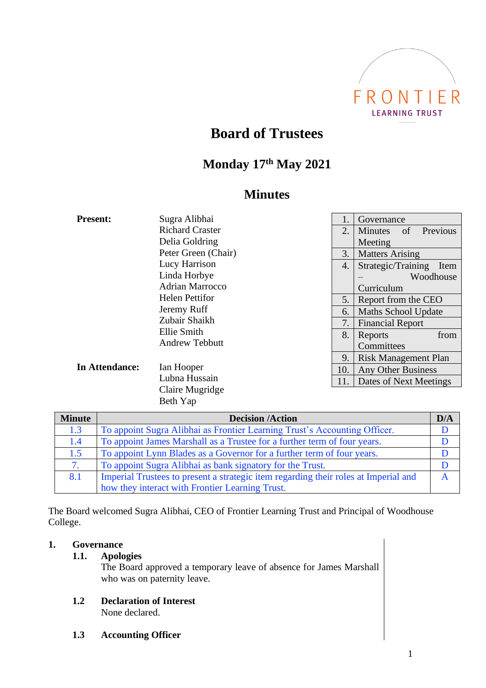

# **Board of Trustees**

## **Monday 17th May 2021**

## **Minutes**

| <b>Present:</b> | Sugra Alibhai               |     | Governance                                               |  |
|-----------------|-----------------------------|-----|----------------------------------------------------------|--|
|                 | <b>Richard Craster</b>      | 2.  | Previous<br><b>Minutes</b><br>of                         |  |
|                 | Delia Goldring              |     | Meeting                                                  |  |
|                 | Peter Green (Chair)         | 3.  | <b>Matters Arising</b><br>Strategic/Training<br>Item     |  |
|                 | Lucy Harrison               | 4.  |                                                          |  |
|                 | Linda Horbye                |     | Woodhouse                                                |  |
|                 | <b>Adrian Marrocco</b>      |     | Curriculum<br>Report from the CEO<br>Maths School Update |  |
|                 | <b>Helen Pettifor</b>       | 5.  |                                                          |  |
|                 | Jeremy Ruff                 | 6.  |                                                          |  |
|                 | Zubair Shaikh               | 7.  | <b>Financial Report</b>                                  |  |
|                 | Ellie Smith                 | 8.  | Reports<br>from                                          |  |
|                 | <b>Andrew Tebbutt</b>       |     | Committees                                               |  |
| In Attendance:  | Ian Hooper<br>Lubna Hussain | 9.  | <b>Risk Management Plan</b>                              |  |
|                 |                             | 10. | Any Other Business                                       |  |
|                 |                             | 11. | Dates of Next Meetings                                   |  |
|                 | Claire Mugridge             |     |                                                          |  |

| <b>Minute</b> | <b>Decision /Action</b>                                                             | D/A |
|---------------|-------------------------------------------------------------------------------------|-----|
| 1.3           | To appoint Sugra Alibhai as Frontier Learning Trust's Accounting Officer.           |     |
| 1.4           | To appoint James Marshall as a Trustee for a further term of four years.            |     |
| 1.5           | To appoint Lynn Blades as a Governor for a further term of four years.              |     |
|               | To appoint Sugra Alibhai as bank signatory for the Trust.                           |     |
| 8.1           | Imperial Trustees to present a strategic item regarding their roles at Imperial and |     |
|               | how they interact with Frontier Learning Trust.                                     |     |

The Board welcomed Sugra Alibhai, CEO of Frontier Learning Trust and Principal of Woodhouse College.

### **1. Governance**

**1.1. Apologies**

The Board approved a temporary leave of absence for James Marshall who was on paternity leave.

**1.2 Declaration of Interest** None declared.

Beth Yap

**1.3 Accounting Officer**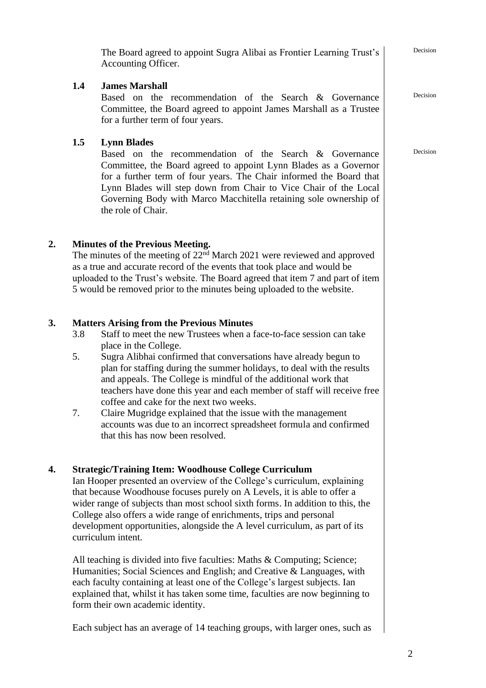|    |                                                                                                                                                                                                                                                                                                                                                                                                                                                                                                                                                                | The Board agreed to appoint Sugra Alibai as Frontier Learning Trust's<br>Accounting Officer.                                                                                                                                                                                                                                                                                                                                                                                                                                                                                                                                                                      | Decision |
|----|----------------------------------------------------------------------------------------------------------------------------------------------------------------------------------------------------------------------------------------------------------------------------------------------------------------------------------------------------------------------------------------------------------------------------------------------------------------------------------------------------------------------------------------------------------------|-------------------------------------------------------------------------------------------------------------------------------------------------------------------------------------------------------------------------------------------------------------------------------------------------------------------------------------------------------------------------------------------------------------------------------------------------------------------------------------------------------------------------------------------------------------------------------------------------------------------------------------------------------------------|----------|
|    | 1.4                                                                                                                                                                                                                                                                                                                                                                                                                                                                                                                                                            | <b>James Marshall</b><br>Based on the recommendation of the Search & Governance<br>Committee, the Board agreed to appoint James Marshall as a Trustee<br>for a further term of four years.                                                                                                                                                                                                                                                                                                                                                                                                                                                                        | Decision |
|    | 1.5                                                                                                                                                                                                                                                                                                                                                                                                                                                                                                                                                            | <b>Lynn Blades</b><br>Based on the recommendation of the Search & Governance<br>Committee, the Board agreed to appoint Lynn Blades as a Governor<br>for a further term of four years. The Chair informed the Board that<br>Lynn Blades will step down from Chair to Vice Chair of the Local<br>Governing Body with Marco Macchitella retaining sole ownership of<br>the role of Chair.                                                                                                                                                                                                                                                                            | Decision |
| 2. |                                                                                                                                                                                                                                                                                                                                                                                                                                                                                                                                                                | <b>Minutes of the Previous Meeting.</b><br>The minutes of the meeting of $22nd$ March 2021 were reviewed and approved<br>as a true and accurate record of the events that took place and would be<br>uploaded to the Trust's website. The Board agreed that item 7 and part of item<br>5 would be removed prior to the minutes being uploaded to the website.                                                                                                                                                                                                                                                                                                     |          |
| 3. | 3.8<br>5.<br>7.                                                                                                                                                                                                                                                                                                                                                                                                                                                                                                                                                | <b>Matters Arising from the Previous Minutes</b><br>Staff to meet the new Trustees when a face-to-face session can take<br>place in the College.<br>Sugra Alibhai confirmed that conversations have already begun to<br>plan for staffing during the summer holidays, to deal with the results<br>and appeals. The College is mindful of the additional work that<br>teachers have done this year and each member of staff will receive free<br>coffee and cake for the next two weeks.<br>Claire Mugridge explained that the issue with the management<br>accounts was due to an incorrect spreadsheet formula and confirmed<br>that this has now been resolved. |          |
| 4. | <b>Strategic/Training Item: Woodhouse College Curriculum</b><br>Ian Hooper presented an overview of the College's curriculum, explaining<br>that because Woodhouse focuses purely on A Levels, it is able to offer a<br>wider range of subjects than most school sixth forms. In addition to this, the<br>College also offers a wide range of enrichments, trips and personal<br>development opportunities, alongside the A level curriculum, as part of its<br>curriculum intent.<br>All teaching is divided into five faculties: Maths & Computing; Science; |                                                                                                                                                                                                                                                                                                                                                                                                                                                                                                                                                                                                                                                                   |          |
|    |                                                                                                                                                                                                                                                                                                                                                                                                                                                                                                                                                                | Humanities; Social Sciences and English; and Creative & Languages, with<br>each faculty containing at least one of the College's largest subjects. Ian<br>explained that, whilst it has taken some time, faculties are now beginning to<br>form their own academic identity.                                                                                                                                                                                                                                                                                                                                                                                      |          |
|    |                                                                                                                                                                                                                                                                                                                                                                                                                                                                                                                                                                | Each subject has an average of 14 teaching groups, with larger ones, such as                                                                                                                                                                                                                                                                                                                                                                                                                                                                                                                                                                                      |          |
|    |                                                                                                                                                                                                                                                                                                                                                                                                                                                                                                                                                                |                                                                                                                                                                                                                                                                                                                                                                                                                                                                                                                                                                                                                                                                   |          |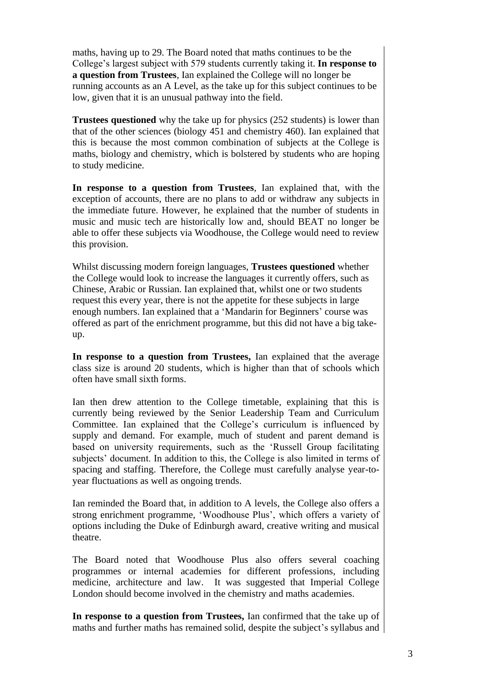maths, having up to 29. The Board noted that maths continues to be the College's largest subject with 579 students currently taking it. **In response to a question from Trustees**, Ian explained the College will no longer be running accounts as an A Level, as the take up for this subject continues to be low, given that it is an unusual pathway into the field.

**Trustees questioned** why the take up for physics (252 students) is lower than that of the other sciences (biology 451 and chemistry 460). Ian explained that this is because the most common combination of subjects at the College is maths, biology and chemistry, which is bolstered by students who are hoping to study medicine.

**In response to a question from Trustees**, Ian explained that, with the exception of accounts, there are no plans to add or withdraw any subjects in the immediate future. However, he explained that the number of students in music and music tech are historically low and, should BEAT no longer be able to offer these subjects via Woodhouse, the College would need to review this provision.

Whilst discussing modern foreign languages, **Trustees questioned** whether the College would look to increase the languages it currently offers, such as Chinese, Arabic or Russian. Ian explained that, whilst one or two students request this every year, there is not the appetite for these subjects in large enough numbers. Ian explained that a 'Mandarin for Beginners' course was offered as part of the enrichment programme, but this did not have a big takeup.

**In response to a question from Trustees,** Ian explained that the average class size is around 20 students, which is higher than that of schools which often have small sixth forms.

Ian then drew attention to the College timetable, explaining that this is currently being reviewed by the Senior Leadership Team and Curriculum Committee. Ian explained that the College's curriculum is influenced by supply and demand. For example, much of student and parent demand is based on university requirements, such as the 'Russell Group facilitating subjects' document. In addition to this, the College is also limited in terms of spacing and staffing. Therefore, the College must carefully analyse year-toyear fluctuations as well as ongoing trends.

Ian reminded the Board that, in addition to A levels, the College also offers a strong enrichment programme, 'Woodhouse Plus', which offers a variety of options including the Duke of Edinburgh award, creative writing and musical theatre.

The Board noted that Woodhouse Plus also offers several coaching programmes or internal academies for different professions, including medicine, architecture and law. It was suggested that Imperial College London should become involved in the chemistry and maths academies.

**In response to a question from Trustees,** Ian confirmed that the take up of maths and further maths has remained solid, despite the subject's syllabus and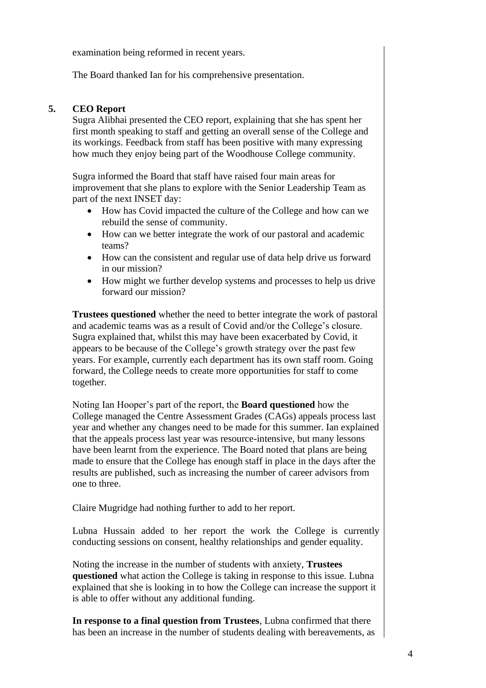examination being reformed in recent years.

The Board thanked Ian for his comprehensive presentation.

#### **5. CEO Report**

Sugra Alibhai presented the CEO report, explaining that she has spent her first month speaking to staff and getting an overall sense of the College and its workings. Feedback from staff has been positive with many expressing how much they enjoy being part of the Woodhouse College community.

Sugra informed the Board that staff have raised four main areas for improvement that she plans to explore with the Senior Leadership Team as part of the next INSET day:

- How has Covid impacted the culture of the College and how can we rebuild the sense of community.
- How can we better integrate the work of our pastoral and academic teams?
- How can the consistent and regular use of data help drive us forward in our mission?
- How might we further develop systems and processes to help us drive forward our mission?

**Trustees questioned** whether the need to better integrate the work of pastoral and academic teams was as a result of Covid and/or the College's closure. Sugra explained that, whilst this may have been exacerbated by Covid, it appears to be because of the College's growth strategy over the past few years. For example, currently each department has its own staff room. Going forward, the College needs to create more opportunities for staff to come together.

Noting Ian Hooper's part of the report, the **Board questioned** how the College managed the Centre Assessment Grades (CAGs) appeals process last year and whether any changes need to be made for this summer. Ian explained that the appeals process last year was resource-intensive, but many lessons have been learnt from the experience. The Board noted that plans are being made to ensure that the College has enough staff in place in the days after the results are published, such as increasing the number of career advisors from one to three.

Claire Mugridge had nothing further to add to her report.

Lubna Hussain added to her report the work the College is currently conducting sessions on consent, healthy relationships and gender equality.

Noting the increase in the number of students with anxiety, **Trustees questioned** what action the College is taking in response to this issue. Lubna explained that she is looking in to how the College can increase the support it is able to offer without any additional funding.

**In response to a final question from Trustees**, Lubna confirmed that there has been an increase in the number of students dealing with bereavements, as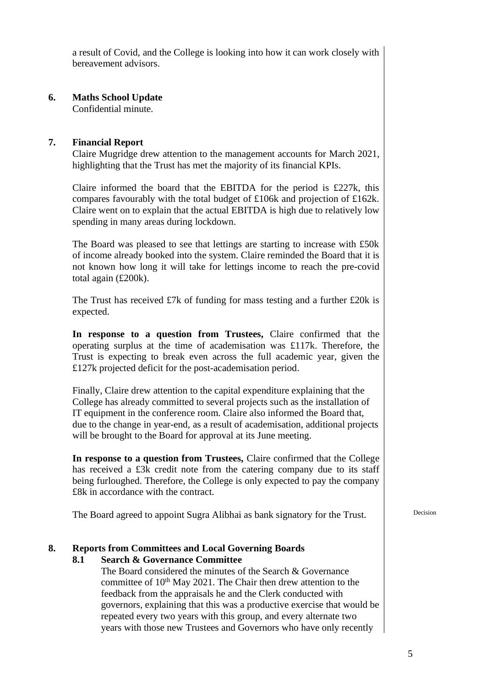a result of Covid, and the College is looking into how it can work closely with bereavement advisors.

## **6. Maths School Update**

Confidential minute.

### **7. Financial Report**

Claire Mugridge drew attention to the management accounts for March 2021, highlighting that the Trust has met the majority of its financial KPIs.

Claire informed the board that the EBITDA for the period is £227k, this compares favourably with the total budget of £106k and projection of £162k. Claire went on to explain that the actual EBITDA is high due to relatively low spending in many areas during lockdown.

The Board was pleased to see that lettings are starting to increase with £50k of income already booked into the system. Claire reminded the Board that it is not known how long it will take for lettings income to reach the pre-covid total again (£200k).

The Trust has received £7k of funding for mass testing and a further £20k is expected.

**In response to a question from Trustees,** Claire confirmed that the operating surplus at the time of academisation was £117k. Therefore, the Trust is expecting to break even across the full academic year, given the £127k projected deficit for the post-academisation period.

Finally, Claire drew attention to the capital expenditure explaining that the College has already committed to several projects such as the installation of IT equipment in the conference room. Claire also informed the Board that, due to the change in year-end, as a result of academisation, additional projects will be brought to the Board for approval at its June meeting.

**In response to a question from Trustees,** Claire confirmed that the College has received a £3<sub>k</sub> credit note from the catering company due to its staff being furloughed. Therefore, the College is only expected to pay the company £8k in accordance with the contract.

The Board agreed to appoint Sugra Alibhai as bank signatory for the Trust.

### **8. Reports from Committees and Local Governing Boards**

### **8.1 Search & Governance Committee**

The Board considered the minutes of the Search & Governance committee of  $10<sup>th</sup>$  May 2021. The Chair then drew attention to the feedback from the appraisals he and the Clerk conducted with governors, explaining that this was a productive exercise that would be repeated every two years with this group, and every alternate two years with those new Trustees and Governors who have only recently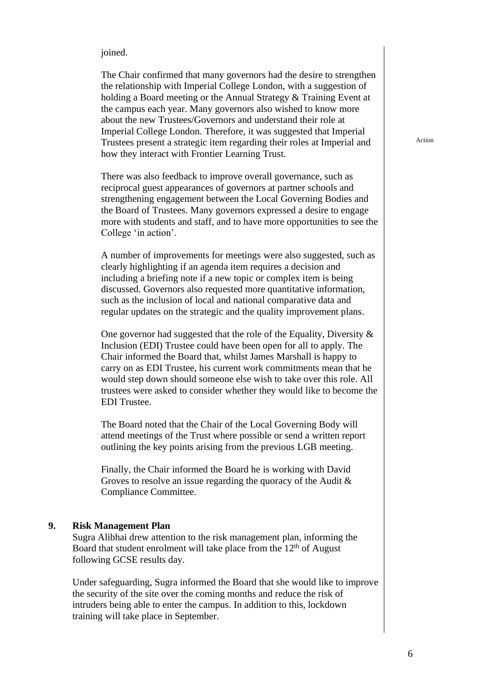#### joined.

The Chair confirmed that many governors had the desire to strengthen the relationship with Imperial College London, with a suggestion of holding a Board meeting or the Annual Strategy & Training Event at the campus each year. Many governors also wished to know more about the new Trustees/Governors and understand their role at Imperial College London. Therefore, it was suggested that Imperial Trustees present a strategic item regarding their roles at Imperial and how they interact with Frontier Learning Trust.

There was also feedback to improve overall governance, such as reciprocal guest appearances of governors at partner schools and strengthening engagement between the Local Governing Bodies and the Board of Trustees. Many governors expressed a desire to engage more with students and staff, and to have more opportunities to see the College 'in action'.

A number of improvements for meetings were also suggested, such as clearly highlighting if an agenda item requires a decision and including a briefing note if a new topic or complex item is being discussed. Governors also requested more quantitative information, such as the inclusion of local and national comparative data and regular updates on the strategic and the quality improvement plans.

One governor had suggested that the role of the Equality, Diversity  $\&$ Inclusion (EDI) Trustee could have been open for all to apply. The Chair informed the Board that, whilst James Marshall is happy to carry on as EDI Trustee, his current work commitments mean that he would step down should someone else wish to take over this role. All trustees were asked to consider whether they would like to become the EDI Trustee.

The Board noted that the Chair of the Local Governing Body will attend meetings of the Trust where possible or send a written report outlining the key points arising from the previous LGB meeting.

Finally, the Chair informed the Board he is working with David Groves to resolve an issue regarding the quoracy of the Audit & Compliance Committee.

#### **9. Risk Management Plan**

Sugra Alibhai drew attention to the risk management plan, informing the Board that student enrolment will take place from the  $12<sup>th</sup>$  of August following GCSE results day.

Under safeguarding, Sugra informed the Board that she would like to improve the security of the site over the coming months and reduce the risk of intruders being able to enter the campus. In addition to this, lockdown training will take place in September.

Action